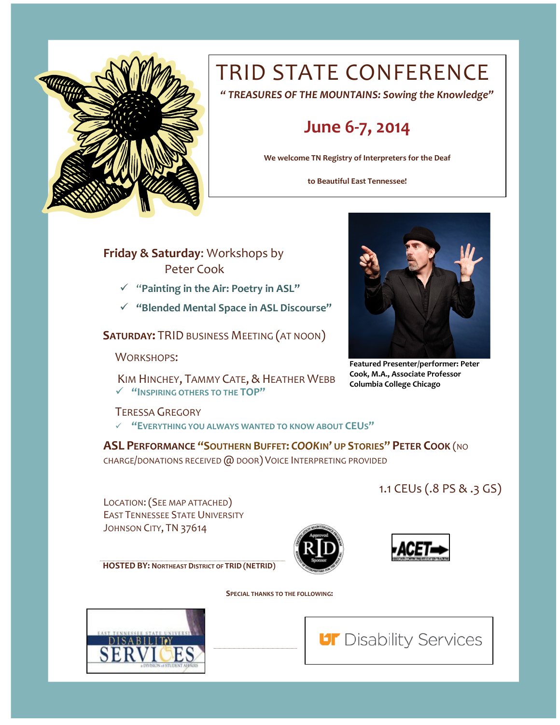

# TRID STATE CONFERENCE

*" TREASURES OF THE MOUNTAINS: Sowing the Knowledge"*

### **June 6-7, 2014**

**We welcome TN Registry of Interpreters for the Deaf**

**to Beautiful East Tennessee!**

**Friday & Saturday**: Workshops by Peter Cook

- "**Painting in the Air: Poetry in ASL"**
- **"Blended Mental Space in ASL Discourse"**

**SATURDAY:** TRID BUSINESS MEETING (AT NOON)

WORKSHOPS:

KIM HINCHEY, TAMMY CATE, & HEATHER WEBB **"INSPIRING OTHERS TO THE TOP"**



**Featured Presenter/performer: Peter Cook, M.A., Associate Professor Columbia College Chicago**

#### TERESSA GREGORY

**"EVERYTHING YOU ALWAYS WANTED TO KNOW ABOUT CEUS"**

**ASL PERFORMANCE "SOUTHERN BUFFET:** *COOK***IN' UP STORIES" PETER COOK** (NO CHARGE/DONATIONS RECEIVED @ DOOR) VOICE INTERPRETING PROVIDED

1.1 CEUs (.8 PS & .3 GS)

LOCATION:(SEE MAP ATTACHED) EAST TENNESSEE STATE UNIVERSITY JOHNSON CITY, TN 37614

**HOSTED BY: NORTHEAST DISTRICT OF TRID (NETRID)**

 **SPECIAL THANKS TO THE FOLLOWING:**



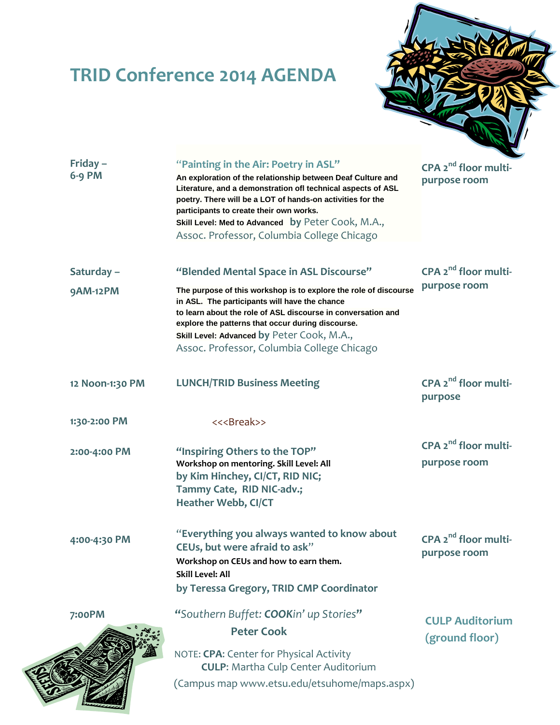## **TRID Conference 2014 AGENDA**



| Friday-<br>6-9 PM | "Painting in the Air: Poetry in ASL"<br>An exploration of the relationship between Deaf Culture and<br>Literature, and a demonstration ofl technical aspects of ASL<br>poetry. There will be a LOT of hands-on activities for the<br>participants to create their own works.<br>Skill Level: Med to Advanced by Peter Cook, M.A.,<br>Assoc. Professor, Columbia College Chicago | CPA 2 <sup>nd</sup> floor multi-<br>purpose room |  |
|-------------------|---------------------------------------------------------------------------------------------------------------------------------------------------------------------------------------------------------------------------------------------------------------------------------------------------------------------------------------------------------------------------------|--------------------------------------------------|--|
| Saturday-         | "Blended Mental Space in ASL Discourse"                                                                                                                                                                                                                                                                                                                                         | CPA $2^{nd}$ floor multi-                        |  |
| <b>9AM-12PM</b>   | The purpose of this workshop is to explore the role of discourse<br>in ASL. The participants will have the chance<br>to learn about the role of ASL discourse in conversation and<br>explore the patterns that occur during discourse.<br>Skill Level: Advanced by Peter Cook, M.A.,<br>Assoc. Professor, Columbia College Chicago                                              | purpose room                                     |  |
| 12 Noon-1:30 PM   | <b>LUNCH/TRID Business Meeting</b>                                                                                                                                                                                                                                                                                                                                              | $CPA$ $2^{nd}$ floor multi-<br>purpose           |  |
| 1:30-2:00 PM      | << <break>&gt;</break>                                                                                                                                                                                                                                                                                                                                                          |                                                  |  |
| 2:00-4:00 PM      | "Inspiring Others to the TOP"<br>Workshop on mentoring. Skill Level: All<br>by Kim Hinchey, CI/CT, RID NIC;<br>Tammy Cate, RID NIC-adv.;<br><b>Heather Webb, CI/CT</b>                                                                                                                                                                                                          | CPA 2 <sup>nd</sup> floor multi-<br>purpose room |  |
| 4:00-4:30 PM      | "Everything you always wanted to know about<br>CEUs, but were afraid to ask"<br>Workshop on CEUs and how to earn them.<br><b>Skill Level: All</b><br>by Teressa Gregory, TRID CMP Coordinator                                                                                                                                                                                   | $CPA 2nd floor multi-$<br>purpose room           |  |
| 7:00PM            | "Southern Buffet: COOKin' up Stories"                                                                                                                                                                                                                                                                                                                                           | <b>CULP Auditorium</b>                           |  |
|                   | <b>Peter Cook</b>                                                                                                                                                                                                                                                                                                                                                               | (ground floor)                                   |  |
|                   | NOTE: CPA: Center for Physical Activity<br><b>CULP:</b> Martha Culp Center Auditorium                                                                                                                                                                                                                                                                                           |                                                  |  |
|                   | (Campus map www.etsu.edu/etsuhome/maps.aspx)                                                                                                                                                                                                                                                                                                                                    |                                                  |  |